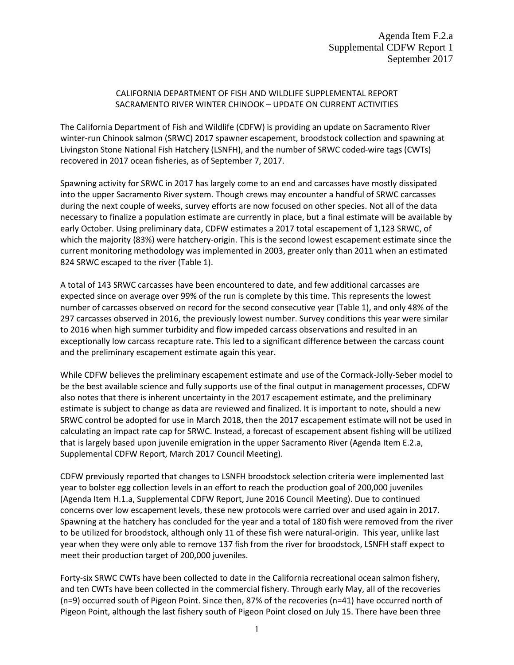## CALIFORNIA DEPARTMENT OF FISH AND WILDLIFE SUPPLEMENTAL REPORT SACRAMENTO RIVER WINTER CHINOOK – UPDATE ON CURRENT ACTIVITIES

The California Department of Fish and Wildlife (CDFW) is providing an update on Sacramento River winter-run Chinook salmon (SRWC) 2017 spawner escapement, broodstock collection and spawning at Livingston Stone National Fish Hatchery (LSNFH), and the number of SRWC coded-wire tags (CWTs) recovered in 2017 ocean fisheries, as of September 7, 2017.

Spawning activity for SRWC in 2017 has largely come to an end and carcasses have mostly dissipated into the upper Sacramento River system. Though crews may encounter a handful of SRWC carcasses during the next couple of weeks, survey efforts are now focused on other species. Not all of the data necessary to finalize a population estimate are currently in place, but a final estimate will be available by early October. Using preliminary data, CDFW estimates a 2017 total escapement of 1,123 SRWC, of which the majority (83%) were hatchery-origin. This is the second lowest escapement estimate since the current monitoring methodology was implemented in 2003, greater only than 2011 when an estimated 824 SRWC escaped to the river (Table 1).

A total of 143 SRWC carcasses have been encountered to date, and few additional carcasses are expected since on average over 99% of the run is complete by this time. This represents the lowest number of carcasses observed on record for the second consecutive year (Table 1), and only 48% of the 297 carcasses observed in 2016, the previously lowest number. Survey conditions this year were similar to 2016 when high summer turbidity and flow impeded carcass observations and resulted in an exceptionally low carcass recapture rate. This led to a significant difference between the carcass count and the preliminary escapement estimate again this year.

While CDFW believes the preliminary escapement estimate and use of the Cormack-Jolly-Seber model to be the best available science and fully supports use of the final output in management processes, CDFW also notes that there is inherent uncertainty in the 2017 escapement estimate, and the preliminary estimate is subject to change as data are reviewed and finalized. It is important to note, should a new SRWC control be adopted for use in March 2018, then the 2017 escapement estimate will not be used in calculating an impact rate cap for SRWC. Instead, a forecast of escapement absent fishing will be utilized that is largely based upon juvenile emigration in the upper Sacramento River (Agenda Item E.2.a, Supplemental CDFW Report, March 2017 Council Meeting).

CDFW previously reported that changes to LSNFH broodstock selection criteria were implemented last year to bolster egg collection levels in an effort to reach the production goal of 200,000 juveniles (Agenda Item H.1.a, Supplemental CDFW Report, June 2016 Council Meeting). Due to continued concerns over low escapement levels, these new protocols were carried over and used again in 2017. Spawning at the hatchery has concluded for the year and a total of 180 fish were removed from the river to be utilized for broodstock, although only 11 of these fish were natural-origin. This year, unlike last year when they were only able to remove 137 fish from the river for broodstock, LSNFH staff expect to meet their production target of 200,000 juveniles.

Forty-six SRWC CWTs have been collected to date in the California recreational ocean salmon fishery, and ten CWTs have been collected in the commercial fishery. Through early May, all of the recoveries (n=9) occurred south of Pigeon Point. Since then, 87% of the recoveries (n=41) have occurred north of Pigeon Point, although the last fishery south of Pigeon Point closed on July 15. There have been three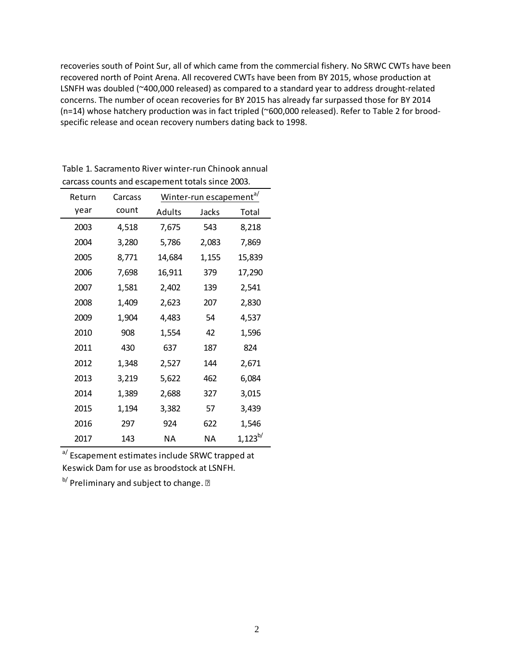recoveries south of Point Sur, all of which came from the commercial fishery. No SRWC CWTs have been recovered north of Point Arena. All recovered CWTs have been from BY 2015, whose production at LSNFH was doubled (~400,000 released) as compared to a standard year to address drought-related concerns. The number of ocean recoveries for BY 2015 has already far surpassed those for BY 2014 (n=14) whose hatchery production was in fact tripled (~600,000 released). Refer to Table 2 for broodspecific release and ocean recovery numbers dating back to 1998.

| Return | Carcass |        | Winter-run escapement <sup>a/</sup> |              |
|--------|---------|--------|-------------------------------------|--------------|
| year   | count   | Adults | Jacks                               | Total        |
| 2003   | 4,518   | 7,675  | 543                                 | 8,218        |
| 2004   | 3,280   | 5,786  | 2,083                               | 7,869        |
| 2005   | 8,771   | 14,684 | 1,155                               | 15,839       |
| 2006   | 7,698   | 16,911 | 379                                 | 17,290       |
| 2007   | 1,581   | 2,402  | 139                                 | 2,541        |
| 2008   | 1,409   | 2,623  | 207                                 | 2,830        |
| 2009   | 1,904   | 4,483  | 54                                  | 4,537        |
| 2010   | 908     | 1,554  | 42                                  | 1,596        |
| 2011   | 430     | 637    | 187                                 | 824          |
| 2012   | 1,348   | 2,527  | 144                                 | 2,671        |
| 2013   | 3,219   | 5,622  | 462                                 | 6,084        |
| 2014   | 1,389   | 2,688  | 327                                 | 3,015        |
| 2015   | 1,194   | 3,382  | 57                                  | 3,439        |
| 2016   | 297     | 924    | 622                                 | 1,546        |
| 2017   | 143     | NΑ     | ΝA                                  | $1,123^{b/}$ |

Table 1. Sacramento River winter-run Chinook annual carcass counts and escapement totals since 2003.

a/Escapement estimates include SRWC trapped at Keswick Dam for use as broodstock at LSNFH.

b<sup>/</sup> Preliminary and subject to change. **?**